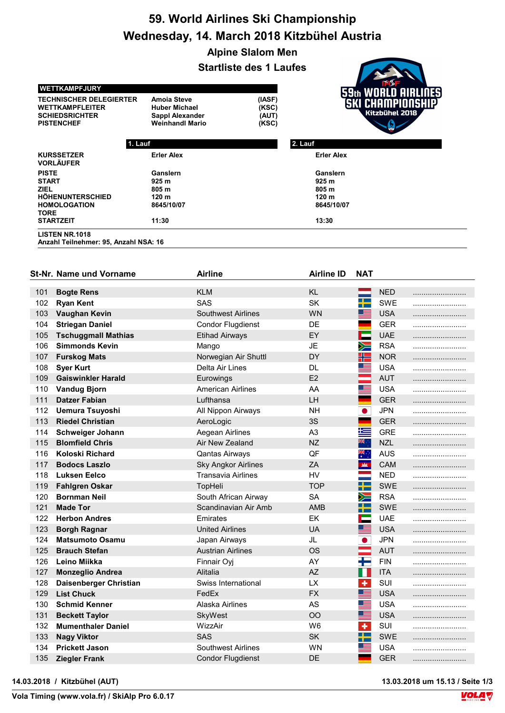## 59. World Airlines Ski Championship Wednesday, 14. March 2018 Kitzbühel Austria

Alpine Slalom Men

|                                                                                                        |                                                                                                | <b>Startliste des 1 Laufes</b>    |                                     |  |  |  |
|--------------------------------------------------------------------------------------------------------|------------------------------------------------------------------------------------------------|-----------------------------------|-------------------------------------|--|--|--|
| <b>WETTKAMPFJURY</b>                                                                                   |                                                                                                |                                   | <b>WORLD AIRLINES</b>               |  |  |  |
| <b>TECHNISCHER DELEGIERTER</b><br><b>WETTKAMPFLEITER</b><br><b>SCHIEDSRICHTER</b><br><b>PISTENCHEF</b> | <b>Amoia Steve</b><br><b>Huber Michael</b><br><b>Sappl Alexander</b><br><b>Weinhandl Mario</b> | (IASF)<br>(KSC)<br>(AUT)<br>(KSC) | (SKI CHAMPIONSHIP<br>Kitzbühel 2018 |  |  |  |
| 1. Lauf                                                                                                |                                                                                                |                                   | 2. Lauf                             |  |  |  |
| <b>KURSSETZER</b><br><b>VORLÄUFER</b>                                                                  | <b>Erler Alex</b>                                                                              |                                   | <b>Erler Alex</b>                   |  |  |  |
| <b>PISTE</b>                                                                                           | Ganslern                                                                                       |                                   | Ganslern                            |  |  |  |
| <b>START</b>                                                                                           | 925 <sub>m</sub>                                                                               |                                   | 925 m                               |  |  |  |
| <b>ZIEL</b>                                                                                            | 805 m                                                                                          |                                   | 805 m                               |  |  |  |
| HÖHENUNTERSCHIED                                                                                       | 120 <sub>m</sub>                                                                               |                                   | 120 <sub>m</sub>                    |  |  |  |
| <b>HOMOLOGATION</b><br><b>TORE</b>                                                                     | 8645/10/07                                                                                     |                                   | 8645/10/07                          |  |  |  |
| <b>STARTZEIT</b>                                                                                       | 11:30                                                                                          |                                   | 13:30                               |  |  |  |
| <b>LISTEN NR.1018</b><br>Anzahl Teilnehmer: 95, Anzahl NSA: 16                                         |                                                                                                |                                   |                                     |  |  |  |

|     | St-Nr. Name und Vorname    | <b>Airline</b>             | <b>Airline ID</b> | <b>NAT</b>               |            |  |
|-----|----------------------------|----------------------------|-------------------|--------------------------|------------|--|
|     |                            |                            |                   |                          |            |  |
| 101 | <b>Bogte Rens</b>          | <b>KLM</b>                 | <b>KL</b>         |                          | <b>NED</b> |  |
| 102 | <b>Ryan Kent</b>           | SAS                        | SK                | ▚                        | SWE        |  |
| 103 | Vaughan Kevin              | <b>Southwest Airlines</b>  | <b>WN</b>         | ▆▆                       | <b>USA</b> |  |
| 104 | <b>Striegan Daniel</b>     | <b>Condor Flugdienst</b>   | DE                |                          | <b>GER</b> |  |
| 105 | <b>Tschuggmall Mathias</b> | <b>Etihad Airways</b>      | EY                | E                        | <b>UAE</b> |  |
| 106 | <b>Simmonds Kevin</b>      | Mango                      | <b>JE</b>         | $\geqslant$              | <b>RSA</b> |  |
| 107 | <b>Furskog Mats</b>        | Norwegian Air Shuttl       | DY                | H                        | <b>NOR</b> |  |
| 108 | <b>Syer Kurt</b>           | Delta Air Lines            | DL                | ▆▆                       | <b>USA</b> |  |
| 109 | <b>Gaiswinkler Harald</b>  | Eurowings                  | E2                | and and the season.      | <b>AUT</b> |  |
| 110 | <b>Vandug Bjorn</b>        | American Airlines          | AA                | ▀                        | <b>USA</b> |  |
| 111 | <b>Datzer Fabian</b>       | Lufthansa                  | LH                | ÷                        | <b>GER</b> |  |
| 112 | <b>Uemura Tsuyoshi</b>     | All Nippon Airways         | <b>NH</b>         | $\bullet$                | <b>JPN</b> |  |
| 113 | <b>Riedel Christian</b>    | AeroLogic                  | 3S                | ÷                        | <b>GER</b> |  |
| 114 | Schweiger Johann           | Aegean Airlines            | A <sub>3</sub>    | 隼                        | <b>GRE</b> |  |
| 115 | <b>Blomfield Chris</b>     | Air New Zealand            | <b>NZ</b>         | ्रह                      | <b>NZL</b> |  |
| 116 | <b>Koloski Richard</b>     | <b>Qantas Airways</b>      | QF                | ञ्ड<br>⊀                 | <b>AUS</b> |  |
| 117 | <b>Bodocs Laszlo</b>       | <b>Sky Angkor Airlines</b> | ZA                | <b>AM</b>                | <b>CAM</b> |  |
| 118 | <b>Luksen Eelco</b>        | <b>Transavia Airlines</b>  | HV                |                          | <b>NED</b> |  |
| 119 | <b>Fahlgren Oskar</b>      | TopHeli                    | <b>TOP</b>        | ┽                        | <b>SWE</b> |  |
| 120 | <b>Bornman Neil</b>        | South African Airway       | SА                | $\searrow$               | <b>RSA</b> |  |
| 121 | <b>Made Tor</b>            | Scandinavian Air Amb       | AMB               | ▞                        | <b>SWE</b> |  |
| 122 | <b>Herbon Andres</b>       | Emirates                   | EK                | Ī.                       | <b>UAE</b> |  |
| 123 | <b>Borgh Ragnar</b>        | <b>United Airlines</b>     | <b>UA</b>         | ▀                        | <b>USA</b> |  |
| 124 | <b>Matsumoto Osamu</b>     | Japan Airways              | JL                | $\bullet$                | <b>JPN</b> |  |
| 125 | <b>Brauch Stefan</b>       | <b>Austrian Airlines</b>   | <b>OS</b>         | $\overline{\phantom{0}}$ | <b>AUT</b> |  |
| 126 | Leino Miikka               | Finnair Oyj                | AY                | ╄                        | <b>FIN</b> |  |
| 127 | <b>Monzeglio Andrea</b>    | Alitalia                   | <b>AZ</b>         | H                        | <b>ITA</b> |  |
| 128 | Daisenberger Christian     | Swiss International        | <b>LX</b>         | $\bullet$                | SUI        |  |
| 129 | <b>List Chuck</b>          | FedEx                      | <b>FX</b>         | ▆▆                       | <b>USA</b> |  |
| 130 | <b>Schmid Kenner</b>       | Alaska Airlines            | AS                | ▀                        | <b>USA</b> |  |
| 131 | <b>Beckett Taylor</b>      | SkyWest                    | <b>OO</b>         | ▆▆                       | <b>USA</b> |  |
| 132 | <b>Mumenthaler Daniel</b>  | WizzAir                    | W <sub>6</sub>    | $\ddot{\phantom{1}}$     | SUI        |  |
| 133 | <b>Nagy Viktor</b>         | <b>SAS</b>                 | <b>SK</b>         | ╈═                       | <b>SWE</b> |  |
| 134 | <b>Prickett Jason</b>      | <b>Southwest Airlines</b>  | WN                | ▀                        | <b>USA</b> |  |
| 135 | <b>Ziegler Frank</b>       | <b>Condor Flugdienst</b>   | DE                | ٠                        | <b>GER</b> |  |



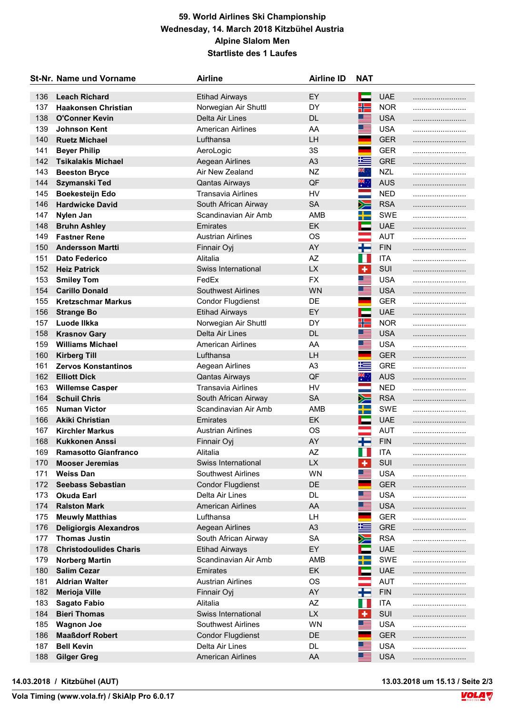## 59. World Airlines Ski Championship Wednesday, 14. March 2018 Kitzbühel Austria Alpine Slalom Men Startliste des 1 Laufes

|     | <b>St-Nr. Name und Vorname</b> | <b>Airline</b>            | <b>Airline ID</b> | <b>NAT</b>           |            |  |
|-----|--------------------------------|---------------------------|-------------------|----------------------|------------|--|
| 136 | <b>Leach Richard</b>           | <b>Etihad Airways</b>     | EY                | <b>The Second</b>    | <b>UAE</b> |  |
| 137 | <b>Haakonsen Christian</b>     | Norwegian Air Shuttl      | DY                | ╬                    | <b>NOR</b> |  |
| 138 | <b>O'Conner Kevin</b>          | Delta Air Lines           | <b>DL</b>         | ▆▆                   | <b>USA</b> |  |
| 139 | <b>Johnson Kent</b>            | <b>American Airlines</b>  | AA                | <u> and</u>          | <b>USA</b> |  |
| 140 | <b>Ruetz Michael</b>           | Lufthansa                 | <b>LH</b>         |                      | <b>GER</b> |  |
| 141 | <b>Beyer Philip</b>            | AeroLogic                 | 3S                | ٠                    | <b>GER</b> |  |
| 142 | <b>Tsikalakis Michael</b>      | Aegean Airlines           | A <sub>3</sub>    | 肯                    | <b>GRE</b> |  |
| 143 | <b>Beeston Bryce</b>           | Air New Zealand           | NZ                | ैं,                  | <b>NZL</b> |  |
| 144 | Szymanski Ted                  | <b>Qantas Airways</b>     | QF                | $\frac{1}{2}$        | <b>AUS</b> |  |
| 145 | Boekesteijn Edo                | Transavia Airlines        | <b>HV</b>         | an<br>Barat          | <b>NED</b> |  |
| 146 | <b>Hardwicke David</b>         | South African Airway      | <b>SA</b>         | $\geqslant$          | <b>RSA</b> |  |
| 147 | Nylen Jan                      | Scandinavian Air Amb      | AMB               | ╅═                   | <b>SWE</b> |  |
| 148 | <b>Bruhn Ashley</b>            | Emirates                  | EK                | ÷                    | <b>UAE</b> |  |
| 149 | <b>Fastner Rene</b>            | <b>Austrian Airlines</b>  | <b>OS</b>         | e e                  | <b>AUT</b> |  |
| 150 | <b>Andersson Martti</b>        | Finnair Oyj               | AY                | Ŧ                    | <b>FIN</b> |  |
| 151 | <b>Dato Federico</b>           | Alitalia                  | AZ                | W                    | <b>ITA</b> |  |
| 152 | <b>Heiz Patrick</b>            | Swiss International       | <b>LX</b>         | $\ddot{\phantom{1}}$ | SUI        |  |
| 153 | <b>Smiley Tom</b>              | FedEx                     | <b>FX</b>         | Œ.                   | <b>USA</b> |  |
| 154 | <b>Carillo Donald</b>          | <b>Southwest Airlines</b> | <b>WN</b>         | ▀▀                   | <b>USA</b> |  |
| 155 | <b>Kretzschmar Markus</b>      | <b>Condor Flugdienst</b>  | DE                |                      | <b>GER</b> |  |
| 156 | <b>Strange Bo</b>              | <b>Etihad Airways</b>     | EY                | E                    | <b>UAE</b> |  |
| 157 | Luode Ilkka                    | Norwegian Air Shuttl      | DY                | 21 S                 | <b>NOR</b> |  |
| 158 | <b>Krasnov Gary</b>            | Delta Air Lines           | <b>DL</b>         | ▓▆                   | <b>USA</b> |  |
| 159 | <b>Williams Michael</b>        | American Airlines         | AA                | ▆▅                   | <b>USA</b> |  |
| 160 | <b>Kirberg Till</b>            | Lufthansa                 | LH                | <b>Contract</b>      | <b>GER</b> |  |
| 161 | <b>Zervos Konstantinos</b>     | Aegean Airlines           | A <sub>3</sub>    | 些                    | <b>GRE</b> |  |
| 162 | <b>Elliott Dick</b>            | <b>Qantas Airways</b>     | QF                | $\frac{1}{2}$        | <b>AUS</b> |  |
| 163 | <b>Willemse Casper</b>         | <b>Transavia Airlines</b> | <b>HV</b>         | an<br>Ma             | <b>NED</b> |  |
| 164 | <b>Schuil Chris</b>            | South African Airway      | <b>SA</b>         | ≽=                   | <b>RSA</b> |  |
| 165 | <b>Numan Victor</b>            | Scandinavian Air Amb      | AMB               | $\rightarrow$        | <b>SWE</b> |  |
| 166 | <b>Akiki Christian</b>         | Emirates                  | <b>EK</b>         | E                    | <b>UAE</b> |  |
| 167 | <b>Kirchler Markus</b>         | <b>Austrian Airlines</b>  | <b>OS</b>         | an<br>Barat          | <b>AUT</b> |  |
| 168 | <b>Kukkonen Anssi</b>          | Finnair Oyj               | AY                | H                    | <b>FIN</b> |  |
| 169 | <b>Ramasotto Gianfranco</b>    | Alitalia                  | AZ                | H                    | <b>ITA</b> |  |
| 170 | <b>Mooser Jeremias</b>         | Swiss International       | LX                | ٠                    | SUI        |  |
| 171 | <b>Weiss Dan</b>               | <b>Southwest Airlines</b> | <b>WN</b>         | ▓                    | <b>USA</b> |  |
| 172 | <b>Seebass Sebastian</b>       | <b>Condor Flugdienst</b>  | DE                |                      | <b>GER</b> |  |
| 173 | <b>Okuda Earl</b>              | Delta Air Lines           | DL.               | Ø.                   | <b>USA</b> |  |
| 174 | <b>Ralston Mark</b>            | <b>American Airlines</b>  | AA                | ▀                    | <b>USA</b> |  |
| 175 | <b>Meuwly Matthias</b>         | Lufthansa                 | LH                |                      | <b>GER</b> |  |
| 176 | <b>Deligiorgis Alexandros</b>  | Aegean Airlines           | A <sub>3</sub>    | 生                    | <b>GRE</b> |  |
| 177 | <b>Thomas Justin</b>           | South African Airway      | <b>SA</b>         | $\geqslant$          | <b>RSA</b> |  |
| 178 | <b>Christodoulides Charis</b>  | <b>Etihad Airways</b>     | EY                |                      | <b>UAE</b> |  |
| 179 | <b>Norberg Martin</b>          | Scandinavian Air Amb      | AMB               | ┽═                   | SWE        |  |
| 180 | <b>Salim Cezar</b>             | Emirates                  | EK                |                      | <b>UAE</b> |  |
| 181 | <b>Aldrian Walter</b>          | <b>Austrian Airlines</b>  | <b>OS</b>         | and and              | <b>AUT</b> |  |
| 182 | <b>Merioja Ville</b>           | Finnair Oyj               | AY                | ╄═                   | <b>FIN</b> |  |
| 183 | <b>Sagato Fabio</b>            | Alitalia                  | AZ                | ш                    | <b>ITA</b> |  |
| 184 | <b>Bieri Thomas</b>            | Swiss International       | <b>LX</b>         | $\bullet$            | SUI        |  |
| 185 | <b>Wagnon Joe</b>              | <b>Southwest Airlines</b> | <b>WN</b>         | ▀                    | <b>USA</b> |  |
| 186 | <b>Maaßdorf Robert</b>         | <b>Condor Flugdienst</b>  | DE                |                      | <b>GER</b> |  |
| 187 | <b>Bell Kevin</b>              | Delta Air Lines           | DL.               | E.                   | <b>USA</b> |  |
| 188 | <b>Gilger Greg</b>             | <b>American Airlines</b>  | AA                | ▀                    | <b>USA</b> |  |